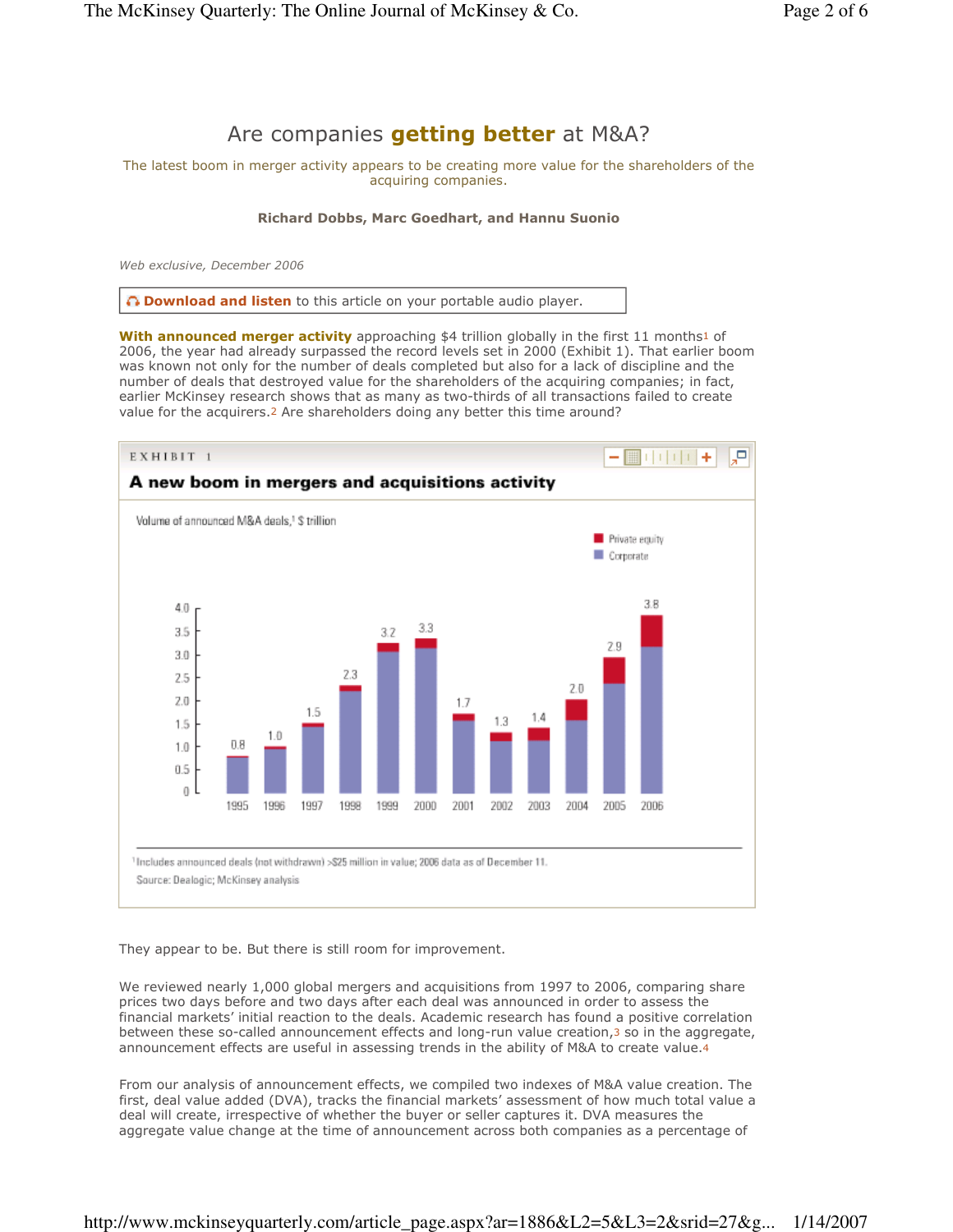# Are companies **getting better** at M&A?

The latest boom in merger activity appears to be creating more value for the shareholders of the acquiring companies.

### Richard Dobbs, Marc Goedhart, and Hannu Suonio

Web exclusive, December 2006

 $\bigcap$  **Download and listen** to this article on your portable audio player.

With announced merger activity approaching \$4 trillion globally in the first 11 months1 of 2006, the year had already surpassed the record levels set in 2000 (Exhibit 1). That earlier boom was known not only for the number of deals completed but also for a lack of discipline and the number of deals that destroyed value for the shareholders of the acquiring companies; in fact, earlier McKinsey research shows that as many as two-thirds of all transactions failed to create value for the acquirers.2 Are shareholders doing any better this time around?



They appear to be. But there is still room for improvement.

We reviewed nearly 1,000 global mergers and acquisitions from 1997 to 2006, comparing share prices two days before and two days after each deal was announced in order to assess the financial markets' initial reaction to the deals. Academic research has found a positive correlation between these so-called announcement effects and long-run value creation,3 so in the aggregate, announcement effects are useful in assessing trends in the ability of M&A to create value.4

From our analysis of announcement effects, we compiled two indexes of M&A value creation. The first, deal value added (DVA), tracks the financial markets' assessment of how much total value a deal will create, irrespective of whether the buyer or seller captures it. DVA measures the aggregate value change at the time of announcement across both companies as a percentage of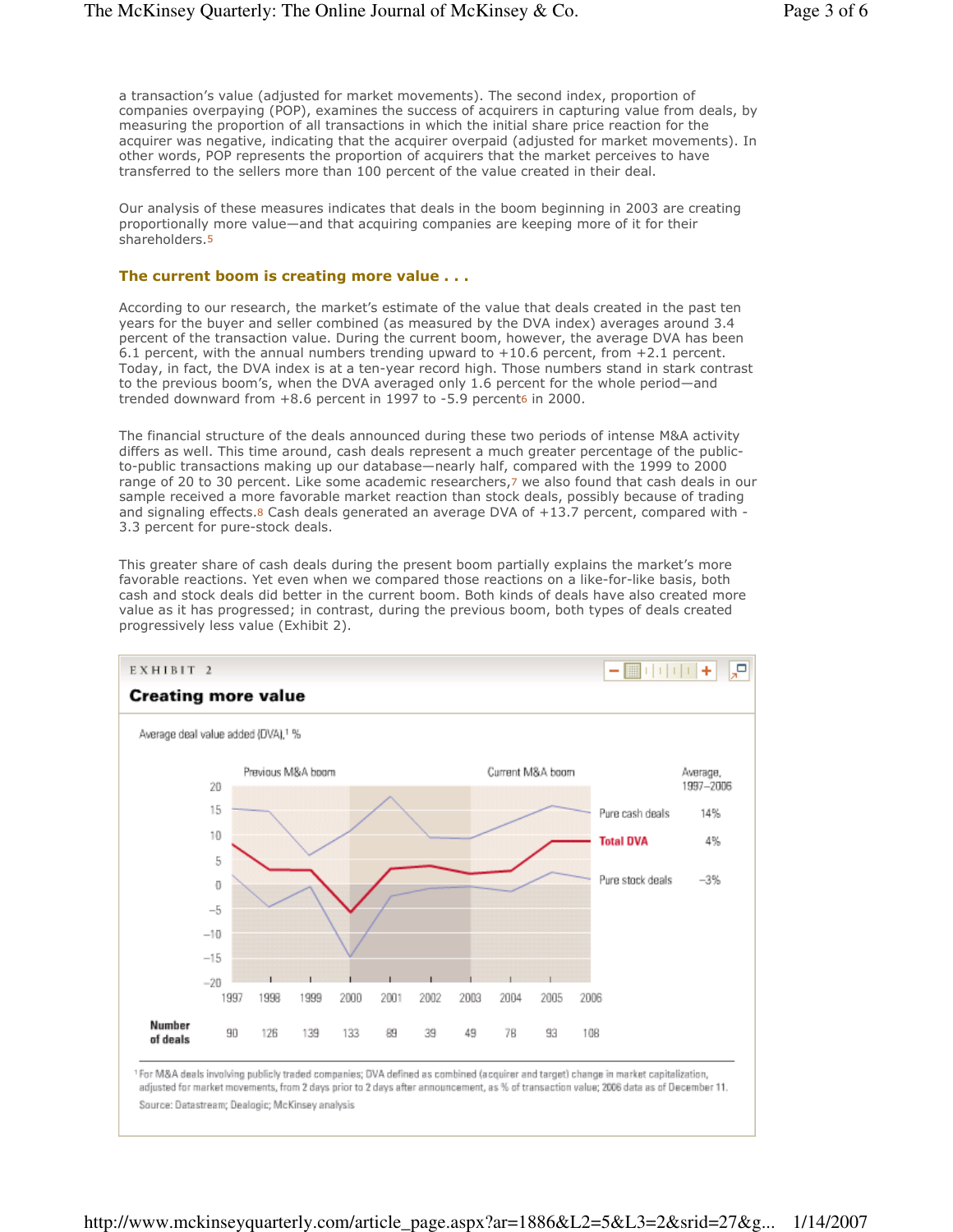a transaction's value (adjusted for market movements). The second index, proportion of companies overpaying (POP), examines the success of acquirers in capturing value from deals, by measuring the proportion of all transactions in which the initial share price reaction for the acquirer was negative, indicating that the acquirer overpaid (adjusted for market movements). In other words, POP represents the proportion of acquirers that the market perceives to have transferred to the sellers more than 100 percent of the value created in their deal.

Our analysis of these measures indicates that deals in the boom beginning in 2003 are creating proportionally more value—and that acquiring companies are keeping more of it for their shareholders.5

### The current boom is creating more value . . .

According to our research, the market's estimate of the value that deals created in the past ten years for the buyer and seller combined (as measured by the DVA index) averages around 3.4 percent of the transaction value. During the current boom, however, the average DVA has been 6.1 percent, with the annual numbers trending upward to  $+10.6$  percent, from  $+2.1$  percent. Today, in fact, the DVA index is at a ten-year record high. Those numbers stand in stark contrast to the previous boom's, when the DVA averaged only 1.6 percent for the whole period—and trended downward from +8.6 percent in 1997 to -5.9 percent6 in 2000.

The financial structure of the deals announced during these two periods of intense M&A activity differs as well. This time around, cash deals represent a much greater percentage of the publicto-public transactions making up our database—nearly half, compared with the 1999 to 2000 range of 20 to 30 percent. Like some academic researchers,7 we also found that cash deals in our sample received a more favorable market reaction than stock deals, possibly because of trading and signaling effects.8 Cash deals generated an average DVA of +13.7 percent, compared with -3.3 percent for pure-stock deals.

This greater share of cash deals during the present boom partially explains the market's more favorable reactions. Yet even when we compared those reactions on a like-for-like basis, both cash and stock deals did better in the current boom. Both kinds of deals have also created more value as it has progressed; in contrast, during the previous boom, both types of deals created progressively less value (Exhibit 2).

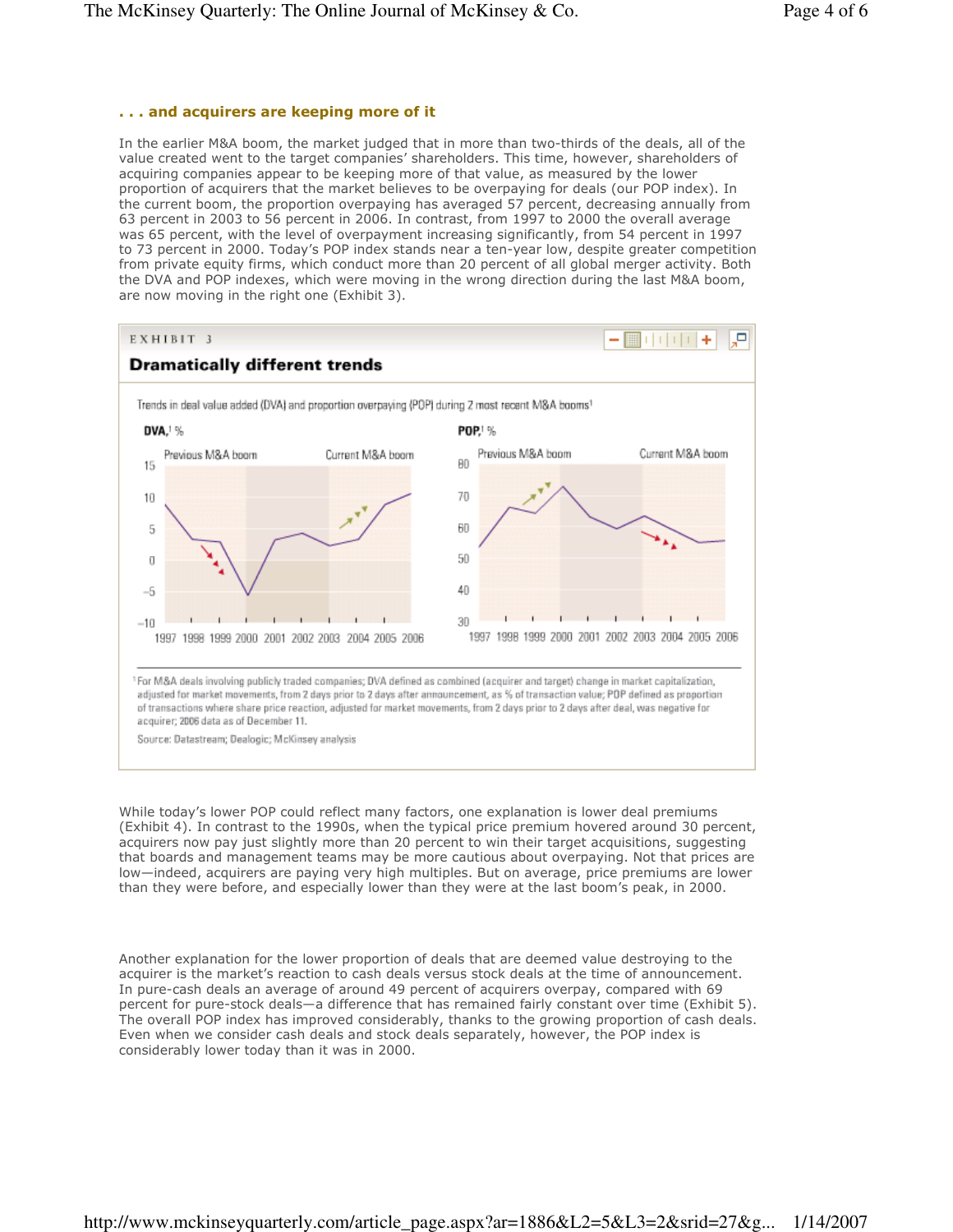### . . . and acquirers are keeping more of it

In the earlier M&A boom, the market judged that in more than two-thirds of the deals, all of the value created went to the target companies' shareholders. This time, however, shareholders of acquiring companies appear to be keeping more of that value, as measured by the lower proportion of acquirers that the market believes to be overpaying for deals (our POP index). In the current boom, the proportion overpaying has averaged 57 percent, decreasing annually from 63 percent in 2003 to 56 percent in 2006. In contrast, from 1997 to 2000 the overall average was 65 percent, with the level of overpayment increasing significantly, from 54 percent in 1997 to 73 percent in 2000. Today's POP index stands near a ten-year low, despite greater competition from private equity firms, which conduct more than 20 percent of all global merger activity. Both the DVA and POP indexes, which were moving in the wrong direction during the last M&A boom, are now moving in the right one (Exhibit 3).



While today's lower POP could reflect many factors, one explanation is lower deal premiums (Exhibit 4). In contrast to the 1990s, when the typical price premium hovered around 30 percent, acquirers now pay just slightly more than 20 percent to win their target acquisitions, suggesting that boards and management teams may be more cautious about overpaying. Not that prices are low—indeed, acquirers are paying very high multiples. But on average, price premiums are lower than they were before, and especially lower than they were at the last boom's peak, in 2000.

Another explanation for the lower proportion of deals that are deemed value destroying to the acquirer is the market's reaction to cash deals versus stock deals at the time of announcement. In pure-cash deals an average of around 49 percent of acquirers overpay, compared with 69 percent for pure-stock deals—a difference that has remained fairly constant over time (Exhibit 5). The overall POP index has improved considerably, thanks to the growing proportion of cash deals. Even when we consider cash deals and stock deals separately, however, the POP index is considerably lower today than it was in 2000.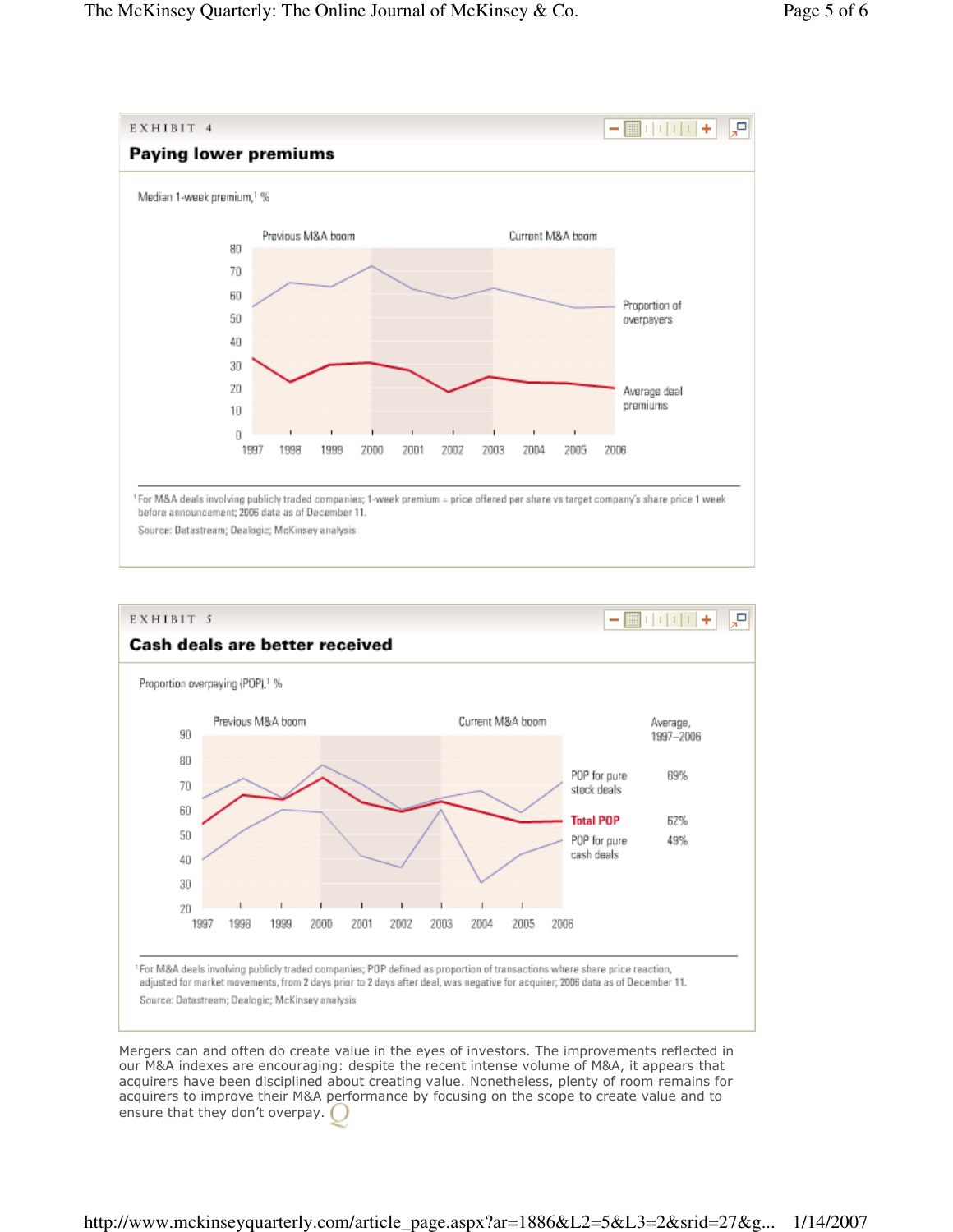

Source: Datastream; Dealogic; McKinsey analysis



Mergers can and often do create value in the eyes of investors. The improvements reflected in our M&A indexes are encouraging: despite the recent intense volume of M&A, it appears that acquirers have been disciplined about creating value. Nonetheless, plenty of room remains for acquirers to improve their M&A performance by focusing on the scope to create value and to ensure that they don't overpay.

## http://www.mckinseyquarterly.com/article\_page.aspx?ar=1886&L2=5&L3=2&srid=27&g... 1/14/2007